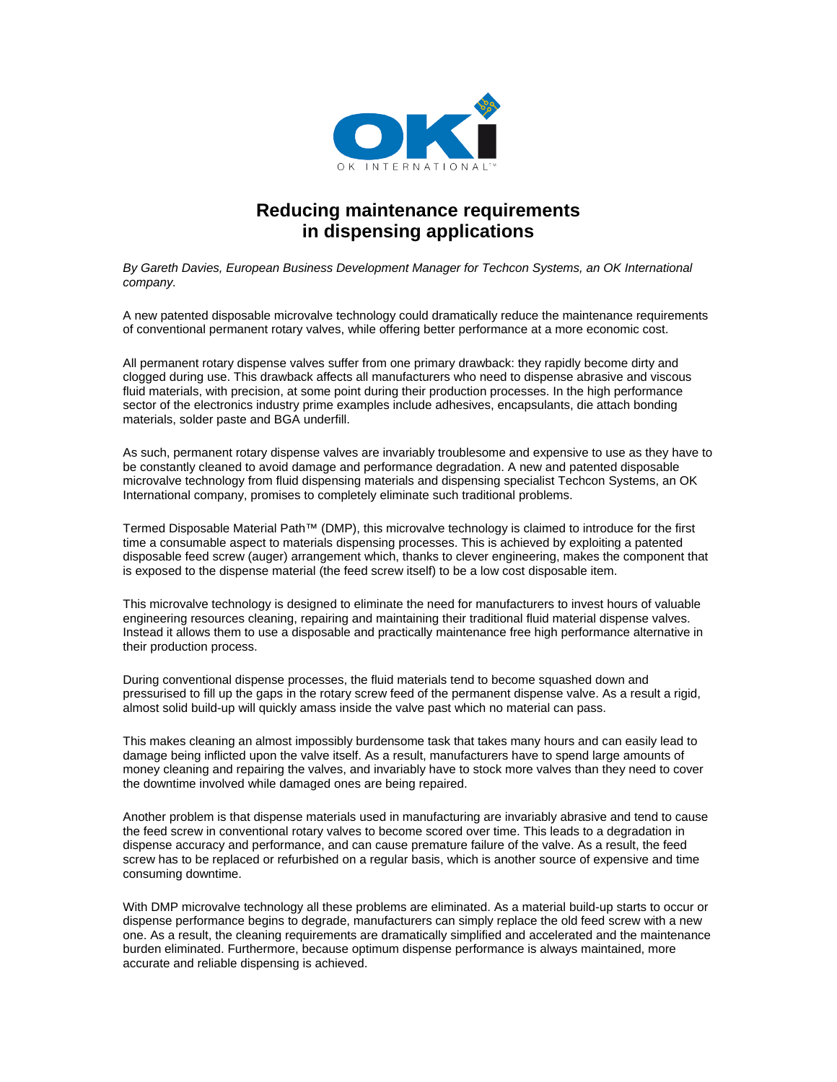

## **Reducing maintenance requirements in dispensing applications**

*By Gareth Davies, European Business Development Manager for Techcon Systems, an OK International company.*

A new patented disposable microvalve technology could dramatically reduce the maintenance requirements of conventional permanent rotary valves, while offering better performance at a more economic cost.

All permanent rotary dispense valves suffer from one primary drawback: they rapidly become dirty and clogged during use. This drawback affects all manufacturers who need to dispense abrasive and viscous fluid materials, with precision, at some point during their production processes. In the high performance sector of the electronics industry prime examples include adhesives, encapsulants, die attach bonding materials, solder paste and BGA underfill.

As such, permanent rotary dispense valves are invariably troublesome and expensive to use as they have to be constantly cleaned to avoid damage and performance degradation. A new and patented disposable microvalve technology from fluid dispensing materials and dispensing specialist Techcon Systems, an OK International company, promises to completely eliminate such traditional problems.

Termed Disposable Material Path™ (DMP), this microvalve technology is claimed to introduce for the first time a consumable aspect to materials dispensing processes. This is achieved by exploiting a patented disposable feed screw (auger) arrangement which, thanks to clever engineering, makes the component that is exposed to the dispense material (the feed screw itself) to be a low cost disposable item.

This microvalve technology is designed to eliminate the need for manufacturers to invest hours of valuable engineering resources cleaning, repairing and maintaining their traditional fluid material dispense valves. Instead it allows them to use a disposable and practically maintenance free high performance alternative in their production process.

During conventional dispense processes, the fluid materials tend to become squashed down and pressurised to fill up the gaps in the rotary screw feed of the permanent dispense valve. As a result a rigid, almost solid build-up will quickly amass inside the valve past which no material can pass.

This makes cleaning an almost impossibly burdensome task that takes many hours and can easily lead to damage being inflicted upon the valve itself. As a result, manufacturers have to spend large amounts of money cleaning and repairing the valves, and invariably have to stock more valves than they need to cover the downtime involved while damaged ones are being repaired.

Another problem is that dispense materials used in manufacturing are invariably abrasive and tend to cause the feed screw in conventional rotary valves to become scored over time. This leads to a degradation in dispense accuracy and performance, and can cause premature failure of the valve. As a result, the feed screw has to be replaced or refurbished on a regular basis, which is another source of expensive and time consuming downtime.

With DMP microvalve technology all these problems are eliminated. As a material build-up starts to occur or dispense performance begins to degrade, manufacturers can simply replace the old feed screw with a new one. As a result, the cleaning requirements are dramatically simplified and accelerated and the maintenance burden eliminated. Furthermore, because optimum dispense performance is always maintained, more accurate and reliable dispensing is achieved.